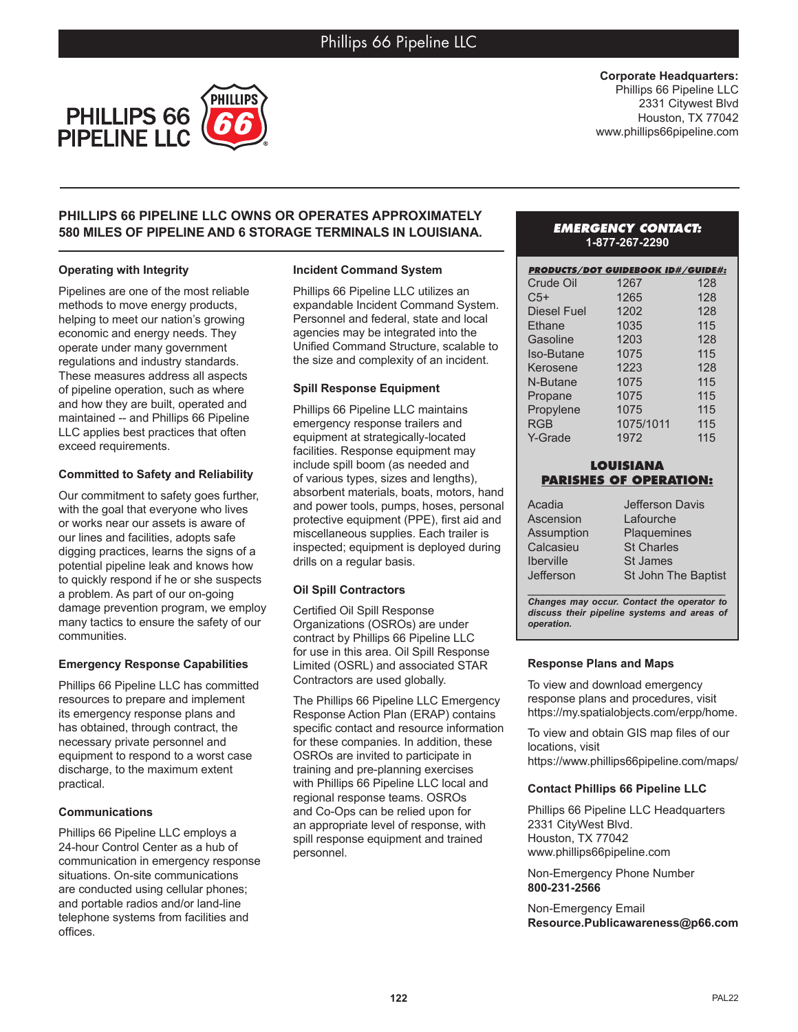

**Corporate Headquarters:** Phillips 66 Pipeline LLC 2331 Citywest Blvd Houston, TX 77042 www.phillips66pipeline.com

# **PHILLIPS 66 PIPELINE LLC OWNS OR OPERATES APPROXIMATELY 580 MILES OF PIPELINE AND 6 STORAGE TERMINALS IN LOUISIANA.**

# **Operating with Integrity**

Pipelines are one of the most reliable methods to move energy products, helping to meet our nation's growing economic and energy needs. They operate under many government regulations and industry standards. These measures address all aspects of pipeline operation, such as where and how they are built, operated and maintained -- and Phillips 66 Pipeline LLC applies best practices that often exceed requirements.

### **Committed to Safety and Reliability**

Our commitment to safety goes further, with the goal that everyone who lives or works near our assets is aware of our lines and facilities, adopts safe digging practices, learns the signs of a potential pipeline leak and knows how to quickly respond if he or she suspects a problem. As part of our on-going damage prevention program, we employ many tactics to ensure the safety of our communities.

# **Emergency Response Capabilities**

Phillips 66 Pipeline LLC has committed resources to prepare and implement its emergency response plans and has obtained, through contract, the necessary private personnel and equipment to respond to a worst case discharge, to the maximum extent practical.

# **Communications**

Phillips 66 Pipeline LLC employs a 24-hour Control Center as a hub of communication in emergency response situations. On-site communications are conducted using cellular phones; and portable radios and/or land-line telephone systems from facilities and offices.

#### **Incident Command System**

Phillips 66 Pipeline LLC utilizes an expandable Incident Command System. Personnel and federal, state and local agencies may be integrated into the Unified Command Structure, scalable to the size and complexity of an incident.

### **Spill Response Equipment**

Phillips 66 Pipeline LLC maintains emergency response trailers and equipment at strategically-located facilities. Response equipment may include spill boom (as needed and of various types, sizes and lengths), absorbent materials, boats, motors, hand and power tools, pumps, hoses, personal protective equipment (PPE), first aid and miscellaneous supplies. Each trailer is inspected; equipment is deployed during drills on a regular basis.

# **Oil Spill Contractors**

Certified Oil Spill Response Organizations (OSROs) are under contract by Phillips 66 Pipeline LLC for use in this area. Oil Spill Response Limited (OSRL) and associated STAR Contractors are used globally.

The Phillips 66 Pipeline LLC Emergency Response Action Plan (ERAP) contains specific contact and resource information for these companies. In addition, these OSROs are invited to participate in training and pre-planning exercises with Phillips 66 Pipeline LLC local and regional response teams. OSROs and Co-Ops can be relied upon for an appropriate level of response, with spill response equipment and trained personnel.

# *EMERGENCY CONTACT:* **1-877-267-2290**

| <b>PRODUCTS/DOT GUIDEBOOK ID#/GUIDE#:</b> |           |     |
|-------------------------------------------|-----------|-----|
| Crude Oil                                 | 1267      | 128 |
| $C5+$                                     | 1265      | 128 |
| <b>Diesel Fuel</b>                        | 1202      | 128 |
| Ethane                                    | 1035      | 115 |
| Gasoline                                  | 1203      | 128 |
| <b>Iso-Butane</b>                         | 1075      | 115 |
| Kerosene                                  | 1223      | 128 |
| N-Butane                                  | 1075      | 115 |
| Propane                                   | 1075      | 115 |
| Propylene                                 | 1075      | 115 |
| <b>RGB</b>                                | 1075/1011 | 115 |
| Y-Grade                                   | 1972      | 115 |

# **LOUISIANA PARISHES OF OPERATION:**

| Acadia                                     | Jefferson Davis            |  |
|--------------------------------------------|----------------------------|--|
| Ascension                                  | Lafourche                  |  |
| Assumption                                 | <b>Plaquemines</b>         |  |
| Calcasieu                                  | <b>St Charles</b>          |  |
| <b>Iberville</b>                           | <b>St James</b>            |  |
| Jefferson                                  | <b>St John The Baptist</b> |  |
|                                            |                            |  |
| Changes may occur. Contact the operator to |                            |  |

*discuss their pipeline systems and areas of operation.*

# **Response Plans and Maps**

To view and download emergency response plans and procedures, visit https://my.spatialobjects.com/erpp/home.

To view and obtain GIS map files of our locations, visit

https://www.phillips66pipeline.com/maps/

# **Contact Phillips 66 Pipeline LLC**

Phillips 66 Pipeline LLC Headquarters 2331 CityWest Blvd. Houston, TX 77042 www.phillips66pipeline.com

Non-Emergency Phone Number **800-231-2566**

Non-Emergency Email **Resource.Publicawareness@p66.com**